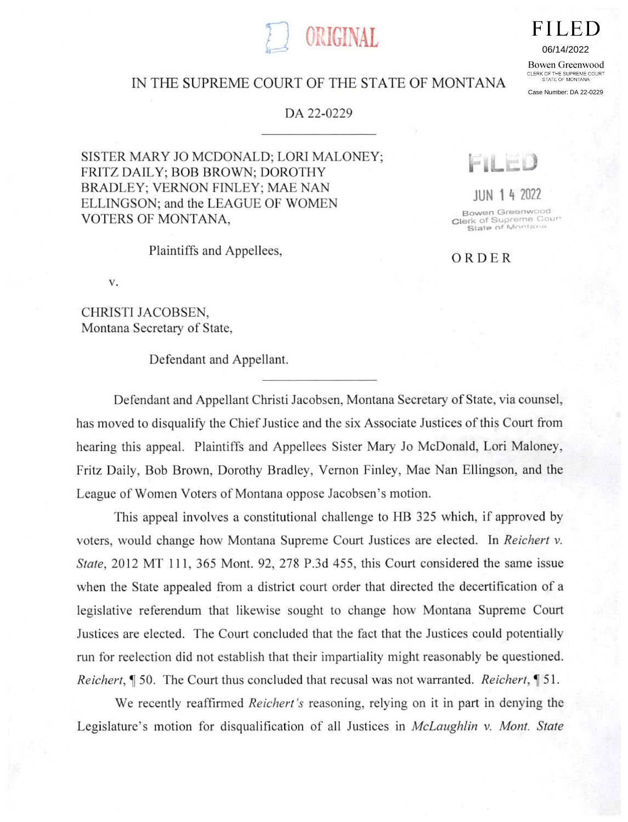## **FILED**

06/14/2022

Bowen Greenwood CLERK OF THE SUPREME COURT<br>STATE OF MONTANA

Case Number: DA 22-0229

## IN THE SUPREME COURT OF THE STATE OF MONTANA

ORIGINAL

## DA 22-0229

SISTER MARY JO MCDONALD; LORI MALONEY; FRITZ DAILY; BOB BROWN; DOROTHY BRADLEY; VERNON FINLEY; MAE NAN ELLINGSON; and the LEAGUE OF WOMEN VOTERS OF MONTANA,

Plaintiffs and Appellees,

 $V.$ 

CHRISTI JACOBSEN, Montana Secretary of State,

Defendant and Appellant.

 $\mathbb{I}$ 

JUN 1 4 2022

Bowen Greenwood Clerk of Supreme Court<br>• State of Montana

ORDER

Defendant and Appellant Christi Jacobsen, Montana Secretary of State, via counsel, has moved to disqualify the Chief Justice and the six Associate Justices of this Court from hearing this appeal. Plaintiffs and Appellees Sister Mary Jo McDonald, Lori Maloney, Fritz Daily, Bob Brown, Dorothy Bradley, Vernon Finley, Mae Nan Ellingson, and the League of Women Voters of Montana oppose Jacobsen's motion.

This appeal involves a constitutional challenge to HB 325 which, if approved by voters, would change how Montana Supreme Court Justices are elected. In Reichert v. State, 2012 MT 111, 365 Mont. 92, 278 P.3d 455, this Court considered the same issue when the State appealed from a district court order that directed the decertification of a legislative referendum that likewise sought to change how Montana Supreme Court Justices are elected. The Court concluded that the fact that the Justices could potentially run for reelection did not establish that their impartiality might reasonably be questioned. Reichert, ¶ 50. The Court thus concluded that recusal was not warranted. Reichert, ¶ 51.

We recently reaffirmed *Reichert's* reasoning, relying on it in part in denying the Legislature's motion for disqualification of all Justices in *McLaughlin v. Mont. State*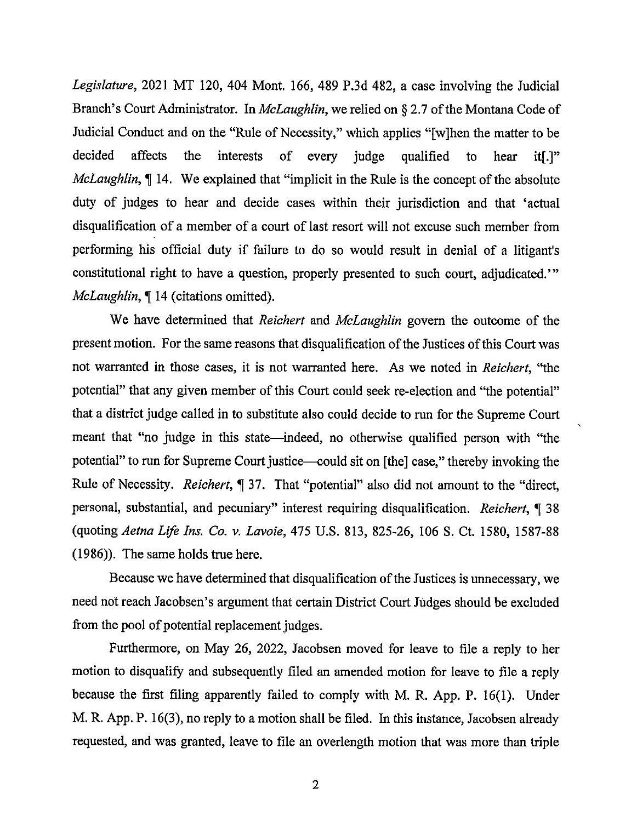Legislature, 2021 MT 120, 404 Mont. 166, 489 P.3d 482, a case involving the Judicial Branch's Court Administrator. In *McLaughlin*, we relied on § 2.7 of the Montana Code of Judicial Conduct and on the "Rule of Necessity," which applies "[w]hen the matter to be decided affects the interests of every judge qualified to hear it[.]" McLaughlin,  $\P$  14. We explained that "implicit in the Rule is the concept of the absolute duty of judges to hear and decide cases within their jurisdiction and that 'actual disqualification of a member of a court of last resort will not excuse such member from performing his official duty if failure to do so would result in denial of a litigant's constitutional right to have a question, properly presented to such court, adjudicated.' McLaughlin, ¶ 14 (citations omitted).

We have determined that *Reichert* and *McLaughlin* govern the outcome of the present motion. For the same reasons that disqualification of the Justices of this Court was not warranted in those cases, it is not warranted here. As we noted in Reichert, "the potential" that any given member of this Court could seek re-election and "the potential" that a district judge called in to substitute also could decide to run for the Supreme Court meant that "no judge in this state—indeed, no otherwise qualified person with "the potential" to run for Supreme Court justice—could sit on [the] case," thereby invoking the Rule of Necessity. Reichert, ¶ 37. That "potential" also did not amount to the "direct, personal, substantial, and pecuniary" interest requiring disqualification. Reichert, ¶ 38 (quoting Aetna Life Ins. Co. v. Lavoie, 475 U.S. 813, 825-26, 106 S. Ct. 1580, 1587-88 (1986)). The same holds true here.

Because we have determined that disqualification of the Justices is unnecessary, we need not reach Jacobsen's argument that certain District Court Judges should be excluded from the pool of potential replacement judges.

Furthermore, on May 26, 2022, Jacobsen moved for leave to file a reply to her motion to disqualify and subsequently filed an amended motion for leave to file a reply because the first filing apparently failed to comply with M. R. App. P. 16(1). Under M. R. App. P. 16(3), no reply to a motion shall be filed. In this instance, Jacobsen already requested, and was granted, leave to file an overlength motion that was more than triple